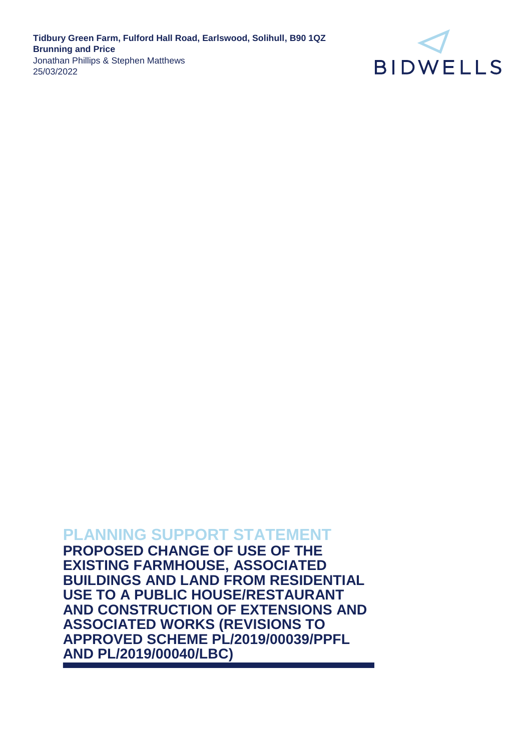

# **PLANNING SUPPORT STATEMENT**

**PROPOSED CHANGE OF USE OF THE EXISTING FARMHOUSE, ASSOCIATED BUILDINGS AND LAND FROM RESIDENTIAL USE TO A PUBLIC HOUSE/RESTAURANT AND CONSTRUCTION OF EXTENSIONS AND ASSOCIATED WORKS (REVISIONS TO APPROVED SCHEME PL/2019/00039/PPFL AND PL/2019/00040/LBC)**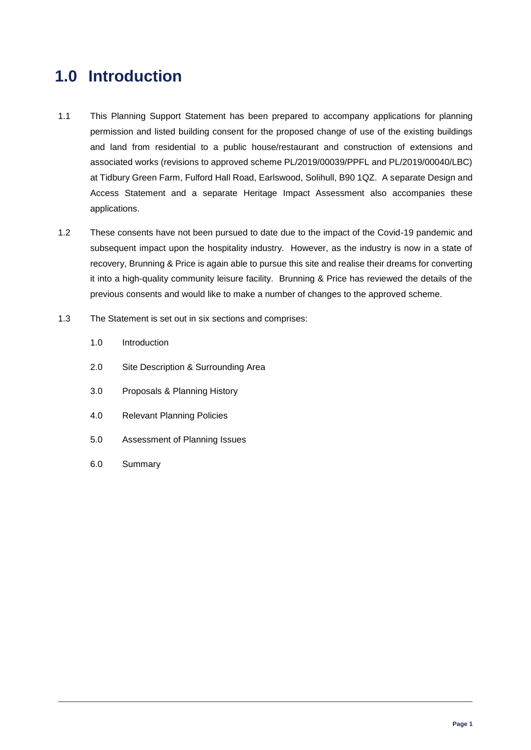# **1.0 Introduction**

- 1.1 This Planning Support Statement has been prepared to accompany applications for planning permission and listed building consent for the proposed change of use of the existing buildings and land from residential to a public house/restaurant and construction of extensions and associated works (revisions to approved scheme PL/2019/00039/PPFL and PL/2019/00040/LBC) at Tidbury Green Farm, Fulford Hall Road, Earlswood, Solihull, B90 1QZ. A separate Design and Access Statement and a separate Heritage Impact Assessment also accompanies these applications.
- 1.2 These consents have not been pursued to date due to the impact of the Covid-19 pandemic and subsequent impact upon the hospitality industry. However, as the industry is now in a state of recovery, Brunning & Price is again able to pursue this site and realise their dreams for converting it into a high-quality community leisure facility. Brunning & Price has reviewed the details of the previous consents and would like to make a number of changes to the approved scheme.
- 1.3 The Statement is set out in six sections and comprises:
	- 1.0 Introduction
	- 2.0 Site Description & Surrounding Area
	- 3.0 Proposals & Planning History
	- 4.0 Relevant Planning Policies
	- 5.0 Assessment of Planning Issues
	- 6.0 Summary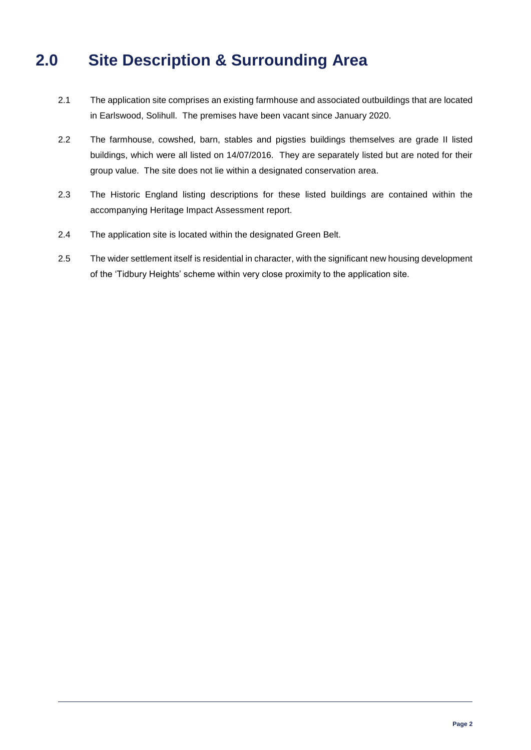# **2.0 Site Description & Surrounding Area**

- 2.1 The application site comprises an existing farmhouse and associated outbuildings that are located in Earlswood, Solihull. The premises have been vacant since January 2020.
- 2.2 The farmhouse, cowshed, barn, stables and pigsties buildings themselves are grade II listed buildings, which were all listed on 14/07/2016. They are separately listed but are noted for their group value. The site does not lie within a designated conservation area.
- 2.3 The Historic England listing descriptions for these listed buildings are contained within the accompanying Heritage Impact Assessment report.
- 2.4 The application site is located within the designated Green Belt.
- 2.5 The wider settlement itself is residential in character, with the significant new housing development of the 'Tidbury Heights' scheme within very close proximity to the application site.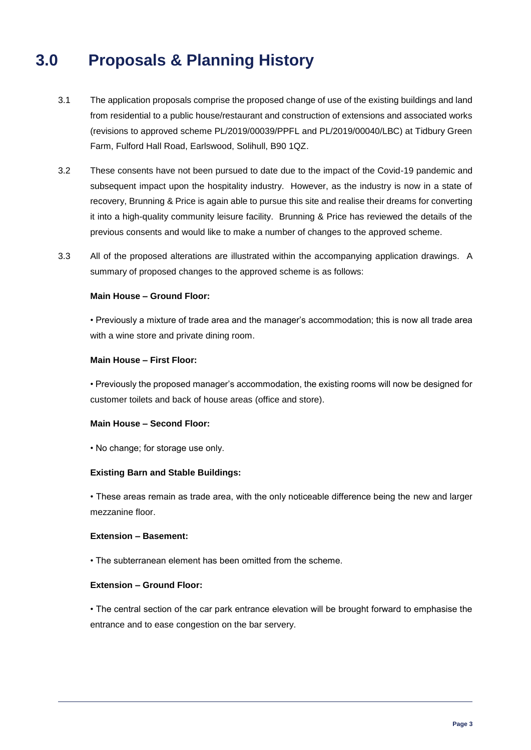# **3.0 Proposals & Planning History**

- 3.1 The application proposals comprise the proposed change of use of the existing buildings and land from residential to a public house/restaurant and construction of extensions and associated works (revisions to approved scheme PL/2019/00039/PPFL and PL/2019/00040/LBC) at Tidbury Green Farm, Fulford Hall Road, Earlswood, Solihull, B90 1QZ.
- 3.2 These consents have not been pursued to date due to the impact of the Covid-19 pandemic and subsequent impact upon the hospitality industry. However, as the industry is now in a state of recovery, Brunning & Price is again able to pursue this site and realise their dreams for converting it into a high-quality community leisure facility. Brunning & Price has reviewed the details of the previous consents and would like to make a number of changes to the approved scheme.
- 3.3 All of the proposed alterations are illustrated within the accompanying application drawings. A summary of proposed changes to the approved scheme is as follows:

### **Main House – Ground Floor:**

• Previously a mixture of trade area and the manager's accommodation; this is now all trade area with a wine store and private dining room.

#### **Main House – First Floor:**

• Previously the proposed manager's accommodation, the existing rooms will now be designed for customer toilets and back of house areas (office and store).

### **Main House – Second Floor:**

• No change; for storage use only.

#### **Existing Barn and Stable Buildings:**

• These areas remain as trade area, with the only noticeable difference being the new and larger mezzanine floor.

### **Extension – Basement:**

• The subterranean element has been omitted from the scheme.

#### **Extension – Ground Floor:**

• The central section of the car park entrance elevation will be brought forward to emphasise the entrance and to ease congestion on the bar servery.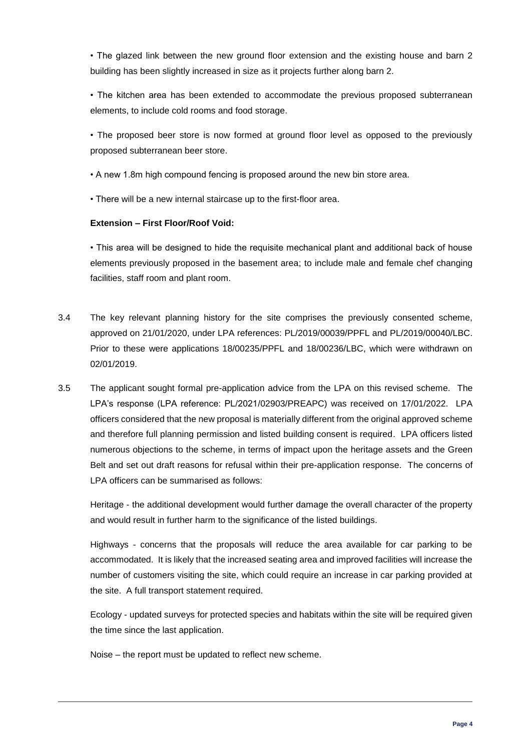• The glazed link between the new ground floor extension and the existing house and barn 2 building has been slightly increased in size as it projects further along barn 2.

• The kitchen area has been extended to accommodate the previous proposed subterranean elements, to include cold rooms and food storage.

• The proposed beer store is now formed at ground floor level as opposed to the previously proposed subterranean beer store.

• A new 1.8m high compound fencing is proposed around the new bin store area.

• There will be a new internal staircase up to the first-floor area.

## **Extension – First Floor/Roof Void:**

• This area will be designed to hide the requisite mechanical plant and additional back of house elements previously proposed in the basement area; to include male and female chef changing facilities, staff room and plant room.

- 3.4 The key relevant planning history for the site comprises the previously consented scheme, approved on 21/01/2020, under LPA references: PL/2019/00039/PPFL and PL/2019/00040/LBC. Prior to these were applications 18/00235/PPFL and 18/00236/LBC, which were withdrawn on 02/01/2019.
- 3.5 The applicant sought formal pre-application advice from the LPA on this revised scheme. The LPA's response (LPA reference: PL/2021/02903/PREAPC) was received on 17/01/2022. LPA officers considered that the new proposal is materially different from the original approved scheme and therefore full planning permission and listed building consent is required. LPA officers listed numerous objections to the scheme, in terms of impact upon the heritage assets and the Green Belt and set out draft reasons for refusal within their pre-application response. The concerns of LPA officers can be summarised as follows:

Heritage - the additional development would further damage the overall character of the property and would result in further harm to the significance of the listed buildings.

Highways - concerns that the proposals will reduce the area available for car parking to be accommodated. It is likely that the increased seating area and improved facilities will increase the number of customers visiting the site, which could require an increase in car parking provided at the site. A full transport statement required.

Ecology - updated surveys for protected species and habitats within the site will be required given the time since the last application.

Noise – the report must be updated to reflect new scheme.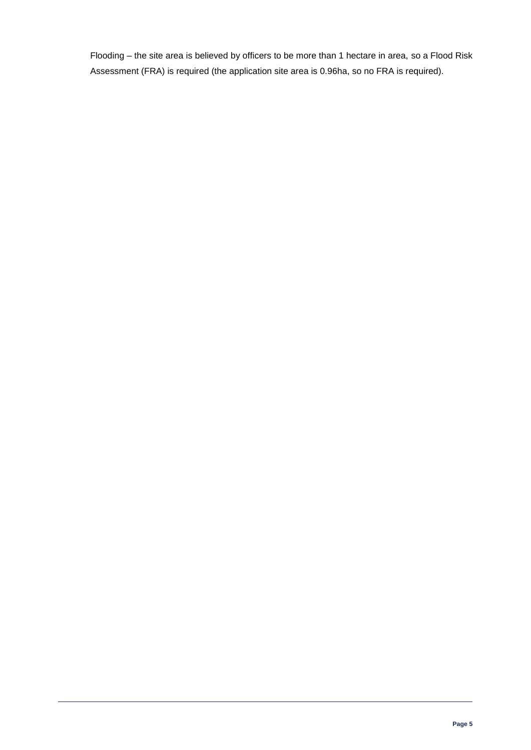Flooding – the site area is believed by officers to be more than 1 hectare in area, so a Flood Risk Assessment (FRA) is required (the application site area is 0.96ha, so no FRA is required).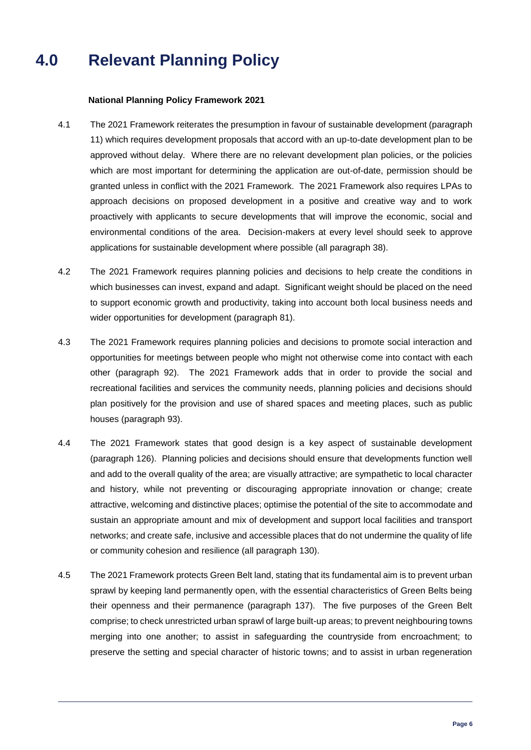# **4.0 Relevant Planning Policy**

### **National Planning Policy Framework 2021**

- 4.1 The 2021 Framework reiterates the presumption in favour of sustainable development (paragraph 11) which requires development proposals that accord with an up-to-date development plan to be approved without delay. Where there are no relevant development plan policies, or the policies which are most important for determining the application are out-of-date, permission should be granted unless in conflict with the 2021 Framework. The 2021 Framework also requires LPAs to approach decisions on proposed development in a positive and creative way and to work proactively with applicants to secure developments that will improve the economic, social and environmental conditions of the area. Decision-makers at every level should seek to approve applications for sustainable development where possible (all paragraph 38).
- 4.2 The 2021 Framework requires planning policies and decisions to help create the conditions in which businesses can invest, expand and adapt. Significant weight should be placed on the need to support economic growth and productivity, taking into account both local business needs and wider opportunities for development (paragraph 81).
- 4.3 The 2021 Framework requires planning policies and decisions to promote social interaction and opportunities for meetings between people who might not otherwise come into contact with each other (paragraph 92). The 2021 Framework adds that in order to provide the social and recreational facilities and services the community needs, planning policies and decisions should plan positively for the provision and use of shared spaces and meeting places, such as public houses (paragraph 93).
- 4.4 The 2021 Framework states that good design is a key aspect of sustainable development (paragraph 126). Planning policies and decisions should ensure that developments function well and add to the overall quality of the area; are visually attractive; are sympathetic to local character and history, while not preventing or discouraging appropriate innovation or change; create attractive, welcoming and distinctive places; optimise the potential of the site to accommodate and sustain an appropriate amount and mix of development and support local facilities and transport networks; and create safe, inclusive and accessible places that do not undermine the quality of life or community cohesion and resilience (all paragraph 130).
- 4.5 The 2021 Framework protects Green Belt land, stating that its fundamental aim is to prevent urban sprawl by keeping land permanently open, with the essential characteristics of Green Belts being their openness and their permanence (paragraph 137). The five purposes of the Green Belt comprise; to check unrestricted urban sprawl of large built-up areas; to prevent neighbouring towns merging into one another; to assist in safeguarding the countryside from encroachment; to preserve the setting and special character of historic towns; and to assist in urban regeneration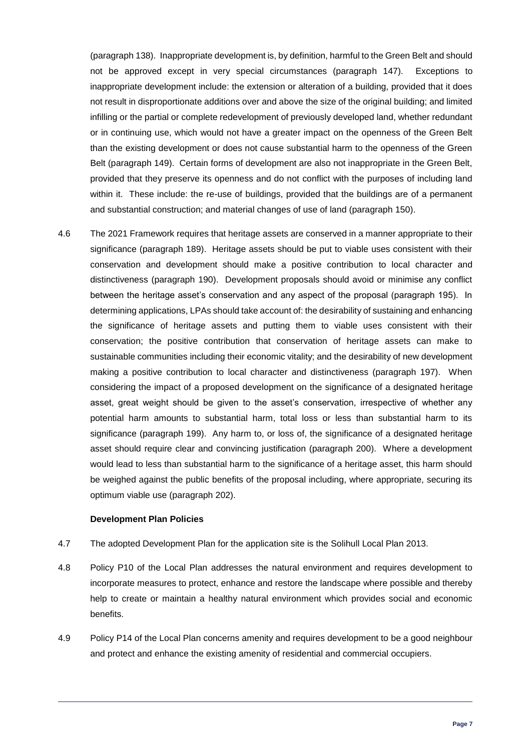(paragraph 138). Inappropriate development is, by definition, harmful to the Green Belt and should not be approved except in very special circumstances (paragraph 147). Exceptions to inappropriate development include: the extension or alteration of a building, provided that it does not result in disproportionate additions over and above the size of the original building; and limited infilling or the partial or complete redevelopment of previously developed land, whether redundant or in continuing use, which would not have a greater impact on the openness of the Green Belt than the existing development or does not cause substantial harm to the openness of the Green Belt (paragraph 149). Certain forms of development are also not inappropriate in the Green Belt, provided that they preserve its openness and do not conflict with the purposes of including land within it. These include: the re-use of buildings, provided that the buildings are of a permanent and substantial construction; and material changes of use of land (paragraph 150).

4.6 The 2021 Framework requires that heritage assets are conserved in a manner appropriate to their significance (paragraph 189). Heritage assets should be put to viable uses consistent with their conservation and development should make a positive contribution to local character and distinctiveness (paragraph 190). Development proposals should avoid or minimise any conflict between the heritage asset's conservation and any aspect of the proposal (paragraph 195). In determining applications, LPAs should take account of: the desirability of sustaining and enhancing the significance of heritage assets and putting them to viable uses consistent with their conservation; the positive contribution that conservation of heritage assets can make to sustainable communities including their economic vitality; and the desirability of new development making a positive contribution to local character and distinctiveness (paragraph 197). When considering the impact of a proposed development on the significance of a designated heritage asset, great weight should be given to the asset's conservation, irrespective of whether any potential harm amounts to substantial harm, total loss or less than substantial harm to its significance (paragraph 199). Any harm to, or loss of, the significance of a designated heritage asset should require clear and convincing justification (paragraph 200). Where a development would lead to less than substantial harm to the significance of a heritage asset, this harm should be weighed against the public benefits of the proposal including, where appropriate, securing its optimum viable use (paragraph 202).

### **Development Plan Policies**

- 4.7 The adopted Development Plan for the application site is the Solihull Local Plan 2013.
- 4.8 Policy P10 of the Local Plan addresses the natural environment and requires development to incorporate measures to protect, enhance and restore the landscape where possible and thereby help to create or maintain a healthy natural environment which provides social and economic benefits.
- 4.9 Policy P14 of the Local Plan concerns amenity and requires development to be a good neighbour and protect and enhance the existing amenity of residential and commercial occupiers.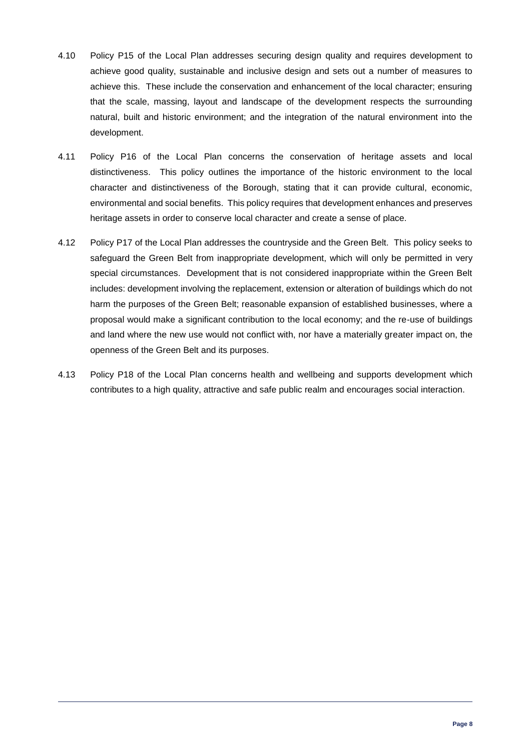- 4.10 Policy P15 of the Local Plan addresses securing design quality and requires development to achieve good quality, sustainable and inclusive design and sets out a number of measures to achieve this. These include the conservation and enhancement of the local character; ensuring that the scale, massing, layout and landscape of the development respects the surrounding natural, built and historic environment; and the integration of the natural environment into the development.
- 4.11 Policy P16 of the Local Plan concerns the conservation of heritage assets and local distinctiveness. This policy outlines the importance of the historic environment to the local character and distinctiveness of the Borough, stating that it can provide cultural, economic, environmental and social benefits. This policy requires that development enhances and preserves heritage assets in order to conserve local character and create a sense of place.
- 4.12 Policy P17 of the Local Plan addresses the countryside and the Green Belt. This policy seeks to safeguard the Green Belt from inappropriate development, which will only be permitted in very special circumstances. Development that is not considered inappropriate within the Green Belt includes: development involving the replacement, extension or alteration of buildings which do not harm the purposes of the Green Belt; reasonable expansion of established businesses, where a proposal would make a significant contribution to the local economy; and the re-use of buildings and land where the new use would not conflict with, nor have a materially greater impact on, the openness of the Green Belt and its purposes.
- 4.13 Policy P18 of the Local Plan concerns health and wellbeing and supports development which contributes to a high quality, attractive and safe public realm and encourages social interaction.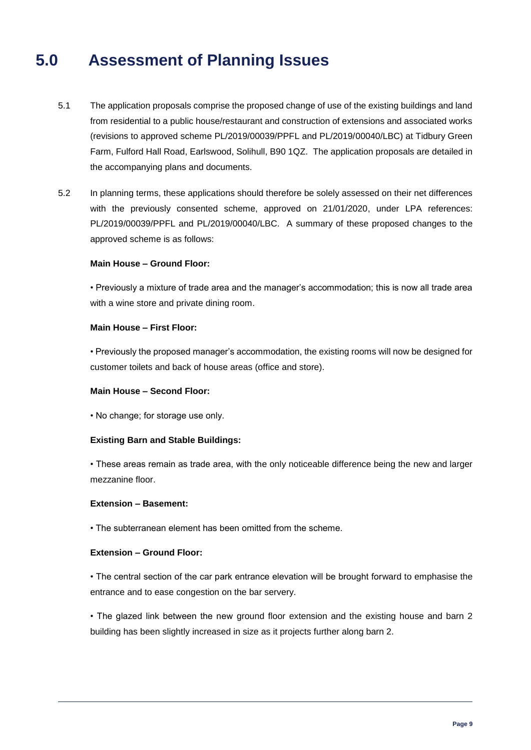# **5.0 Assessment of Planning Issues**

- 5.1 The application proposals comprise the proposed change of use of the existing buildings and land from residential to a public house/restaurant and construction of extensions and associated works (revisions to approved scheme PL/2019/00039/PPFL and PL/2019/00040/LBC) at Tidbury Green Farm, Fulford Hall Road, Earlswood, Solihull, B90 1QZ. The application proposals are detailed in the accompanying plans and documents.
- 5.2 In planning terms, these applications should therefore be solely assessed on their net differences with the previously consented scheme, approved on 21/01/2020, under LPA references: PL/2019/00039/PPFL and PL/2019/00040/LBC. A summary of these proposed changes to the approved scheme is as follows:

### **Main House – Ground Floor:**

• Previously a mixture of trade area and the manager's accommodation; this is now all trade area with a wine store and private dining room.

#### **Main House – First Floor:**

• Previously the proposed manager's accommodation, the existing rooms will now be designed for customer toilets and back of house areas (office and store).

#### **Main House – Second Floor:**

• No change; for storage use only.

#### **Existing Barn and Stable Buildings:**

• These areas remain as trade area, with the only noticeable difference being the new and larger mezzanine floor.

#### **Extension – Basement:**

• The subterranean element has been omitted from the scheme.

### **Extension – Ground Floor:**

• The central section of the car park entrance elevation will be brought forward to emphasise the entrance and to ease congestion on the bar servery.

• The glazed link between the new ground floor extension and the existing house and barn 2 building has been slightly increased in size as it projects further along barn 2.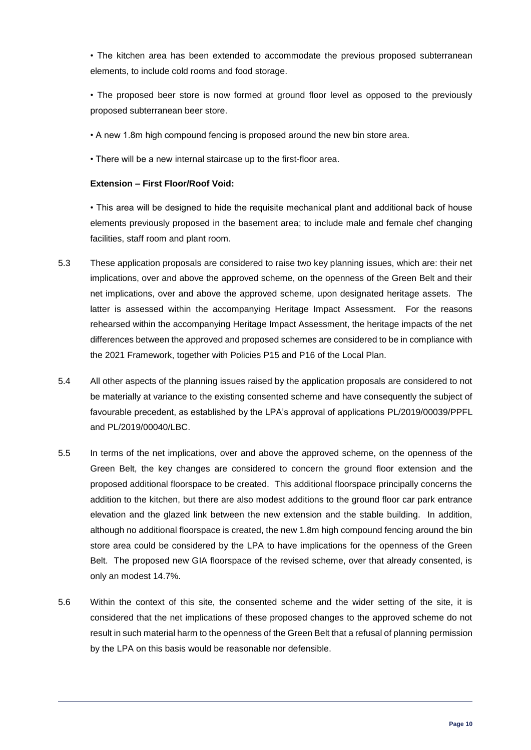• The kitchen area has been extended to accommodate the previous proposed subterranean elements, to include cold rooms and food storage.

• The proposed beer store is now formed at ground floor level as opposed to the previously proposed subterranean beer store.

• A new 1.8m high compound fencing is proposed around the new bin store area.

• There will be a new internal staircase up to the first-floor area.

### **Extension – First Floor/Roof Void:**

• This area will be designed to hide the requisite mechanical plant and additional back of house elements previously proposed in the basement area; to include male and female chef changing facilities, staff room and plant room.

- 5.3 These application proposals are considered to raise two key planning issues, which are: their net implications, over and above the approved scheme, on the openness of the Green Belt and their net implications, over and above the approved scheme, upon designated heritage assets. The latter is assessed within the accompanying Heritage Impact Assessment. For the reasons rehearsed within the accompanying Heritage Impact Assessment, the heritage impacts of the net differences between the approved and proposed schemes are considered to be in compliance with the 2021 Framework, together with Policies P15 and P16 of the Local Plan.
- 5.4 All other aspects of the planning issues raised by the application proposals are considered to not be materially at variance to the existing consented scheme and have consequently the subject of favourable precedent, as established by the LPA's approval of applications PL/2019/00039/PPFL and PL/2019/00040/LBC.
- 5.5 In terms of the net implications, over and above the approved scheme, on the openness of the Green Belt, the key changes are considered to concern the ground floor extension and the proposed additional floorspace to be created. This additional floorspace principally concerns the addition to the kitchen, but there are also modest additions to the ground floor car park entrance elevation and the glazed link between the new extension and the stable building. In addition, although no additional floorspace is created, the new 1.8m high compound fencing around the bin store area could be considered by the LPA to have implications for the openness of the Green Belt. The proposed new GIA floorspace of the revised scheme, over that already consented, is only an modest 14.7%.
- 5.6 Within the context of this site, the consented scheme and the wider setting of the site, it is considered that the net implications of these proposed changes to the approved scheme do not result in such material harm to the openness of the Green Belt that a refusal of planning permission by the LPA on this basis would be reasonable nor defensible.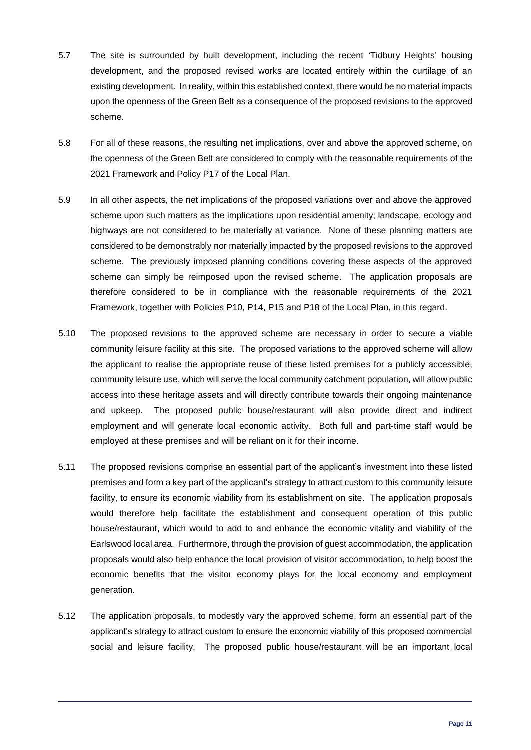- 5.7 The site is surrounded by built development, including the recent 'Tidbury Heights' housing development, and the proposed revised works are located entirely within the curtilage of an existing development. In reality, within this established context, there would be no material impacts upon the openness of the Green Belt as a consequence of the proposed revisions to the approved scheme.
- 5.8 For all of these reasons, the resulting net implications, over and above the approved scheme, on the openness of the Green Belt are considered to comply with the reasonable requirements of the 2021 Framework and Policy P17 of the Local Plan.
- 5.9 In all other aspects, the net implications of the proposed variations over and above the approved scheme upon such matters as the implications upon residential amenity; landscape, ecology and highways are not considered to be materially at variance. None of these planning matters are considered to be demonstrably nor materially impacted by the proposed revisions to the approved scheme. The previously imposed planning conditions covering these aspects of the approved scheme can simply be reimposed upon the revised scheme. The application proposals are therefore considered to be in compliance with the reasonable requirements of the 2021 Framework, together with Policies P10, P14, P15 and P18 of the Local Plan, in this regard.
- 5.10 The proposed revisions to the approved scheme are necessary in order to secure a viable community leisure facility at this site. The proposed variations to the approved scheme will allow the applicant to realise the appropriate reuse of these listed premises for a publicly accessible, community leisure use, which will serve the local community catchment population, will allow public access into these heritage assets and will directly contribute towards their ongoing maintenance and upkeep. The proposed public house/restaurant will also provide direct and indirect employment and will generate local economic activity. Both full and part-time staff would be employed at these premises and will be reliant on it for their income.
- 5.11 The proposed revisions comprise an essential part of the applicant's investment into these listed premises and form a key part of the applicant's strategy to attract custom to this community leisure facility, to ensure its economic viability from its establishment on site. The application proposals would therefore help facilitate the establishment and consequent operation of this public house/restaurant, which would to add to and enhance the economic vitality and viability of the Earlswood local area. Furthermore, through the provision of guest accommodation, the application proposals would also help enhance the local provision of visitor accommodation, to help boost the economic benefits that the visitor economy plays for the local economy and employment generation.
- 5.12 The application proposals, to modestly vary the approved scheme, form an essential part of the applicant's strategy to attract custom to ensure the economic viability of this proposed commercial social and leisure facility. The proposed public house/restaurant will be an important local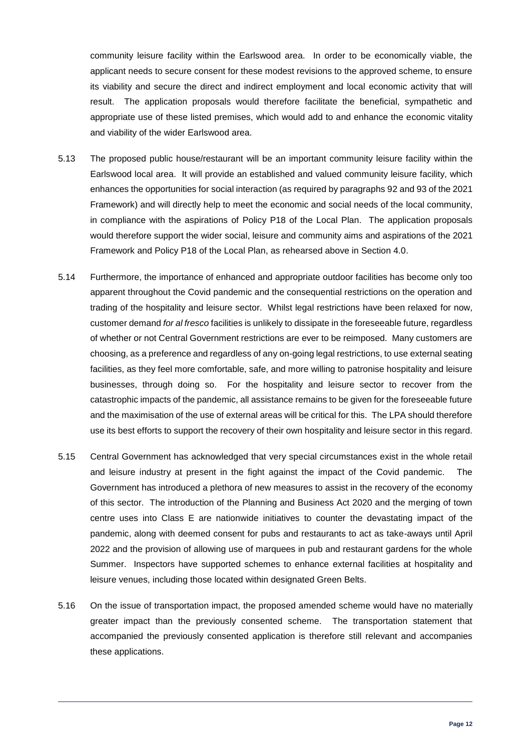community leisure facility within the Earlswood area. In order to be economically viable, the applicant needs to secure consent for these modest revisions to the approved scheme, to ensure its viability and secure the direct and indirect employment and local economic activity that will result. The application proposals would therefore facilitate the beneficial, sympathetic and appropriate use of these listed premises, which would add to and enhance the economic vitality and viability of the wider Earlswood area.

- 5.13 The proposed public house/restaurant will be an important community leisure facility within the Earlswood local area. It will provide an established and valued community leisure facility, which enhances the opportunities for social interaction (as required by paragraphs 92 and 93 of the 2021 Framework) and will directly help to meet the economic and social needs of the local community, in compliance with the aspirations of Policy P18 of the Local Plan. The application proposals would therefore support the wider social, leisure and community aims and aspirations of the 2021 Framework and Policy P18 of the Local Plan, as rehearsed above in Section 4.0.
- 5.14 Furthermore, the importance of enhanced and appropriate outdoor facilities has become only too apparent throughout the Covid pandemic and the consequential restrictions on the operation and trading of the hospitality and leisure sector. Whilst legal restrictions have been relaxed for now, customer demand *for al fresco* facilities is unlikely to dissipate in the foreseeable future, regardless of whether or not Central Government restrictions are ever to be reimposed. Many customers are choosing, as a preference and regardless of any on-going legal restrictions, to use external seating facilities, as they feel more comfortable, safe, and more willing to patronise hospitality and leisure businesses, through doing so. For the hospitality and leisure sector to recover from the catastrophic impacts of the pandemic, all assistance remains to be given for the foreseeable future and the maximisation of the use of external areas will be critical for this. The LPA should therefore use its best efforts to support the recovery of their own hospitality and leisure sector in this regard.
- 5.15 Central Government has acknowledged that very special circumstances exist in the whole retail and leisure industry at present in the fight against the impact of the Covid pandemic. The Government has introduced a plethora of new measures to assist in the recovery of the economy of this sector. The introduction of the Planning and Business Act 2020 and the merging of town centre uses into Class E are nationwide initiatives to counter the devastating impact of the pandemic, along with deemed consent for pubs and restaurants to act as take-aways until April 2022 and the provision of allowing use of marquees in pub and restaurant gardens for the whole Summer. Inspectors have supported schemes to enhance external facilities at hospitality and leisure venues, including those located within designated Green Belts.
- 5.16 On the issue of transportation impact, the proposed amended scheme would have no materially greater impact than the previously consented scheme. The transportation statement that accompanied the previously consented application is therefore still relevant and accompanies these applications.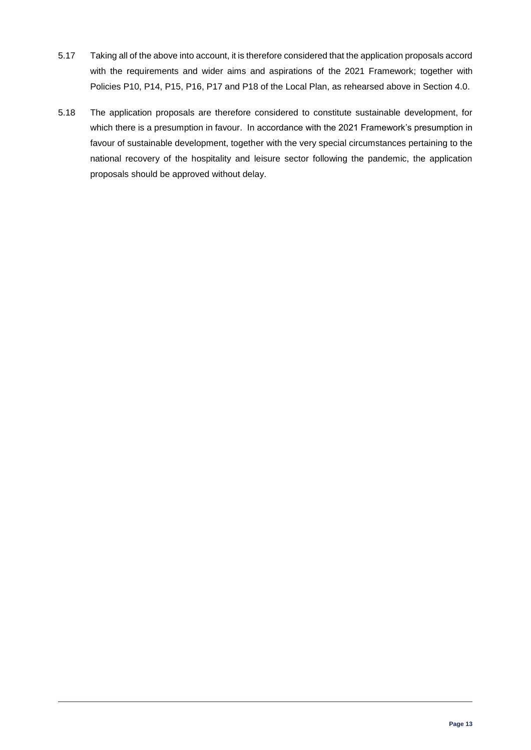- 5.17 Taking all of the above into account, it is therefore considered that the application proposals accord with the requirements and wider aims and aspirations of the 2021 Framework; together with Policies P10, P14, P15, P16, P17 and P18 of the Local Plan, as rehearsed above in Section 4.0.
- 5.18 The application proposals are therefore considered to constitute sustainable development, for which there is a presumption in favour. In accordance with the 2021 Framework's presumption in favour of sustainable development, together with the very special circumstances pertaining to the national recovery of the hospitality and leisure sector following the pandemic, the application proposals should be approved without delay.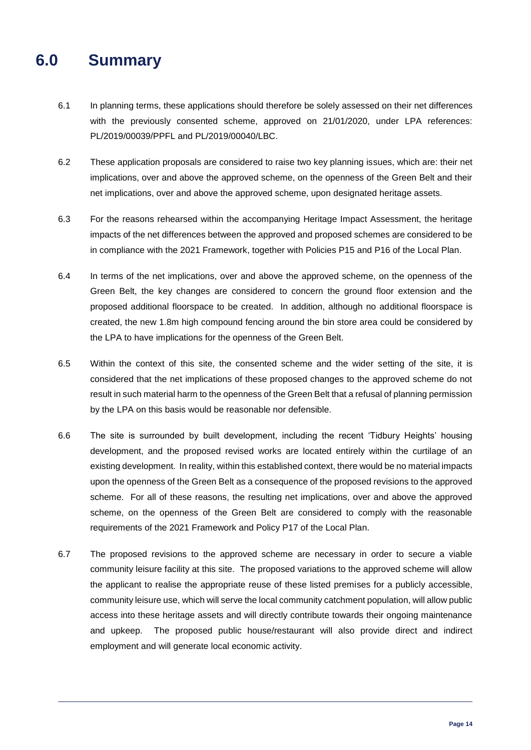# **6.0 Summary**

- 6.1 In planning terms, these applications should therefore be solely assessed on their net differences with the previously consented scheme, approved on 21/01/2020, under LPA references: PL/2019/00039/PPFL and PL/2019/00040/LBC.
- 6.2 These application proposals are considered to raise two key planning issues, which are: their net implications, over and above the approved scheme, on the openness of the Green Belt and their net implications, over and above the approved scheme, upon designated heritage assets.
- 6.3 For the reasons rehearsed within the accompanying Heritage Impact Assessment, the heritage impacts of the net differences between the approved and proposed schemes are considered to be in compliance with the 2021 Framework, together with Policies P15 and P16 of the Local Plan.
- 6.4 In terms of the net implications, over and above the approved scheme, on the openness of the Green Belt, the key changes are considered to concern the ground floor extension and the proposed additional floorspace to be created. In addition, although no additional floorspace is created, the new 1.8m high compound fencing around the bin store area could be considered by the LPA to have implications for the openness of the Green Belt.
- 6.5 Within the context of this site, the consented scheme and the wider setting of the site, it is considered that the net implications of these proposed changes to the approved scheme do not result in such material harm to the openness of the Green Belt that a refusal of planning permission by the LPA on this basis would be reasonable nor defensible.
- 6.6 The site is surrounded by built development, including the recent 'Tidbury Heights' housing development, and the proposed revised works are located entirely within the curtilage of an existing development. In reality, within this established context, there would be no material impacts upon the openness of the Green Belt as a consequence of the proposed revisions to the approved scheme. For all of these reasons, the resulting net implications, over and above the approved scheme, on the openness of the Green Belt are considered to comply with the reasonable requirements of the 2021 Framework and Policy P17 of the Local Plan.
- 6.7 The proposed revisions to the approved scheme are necessary in order to secure a viable community leisure facility at this site. The proposed variations to the approved scheme will allow the applicant to realise the appropriate reuse of these listed premises for a publicly accessible, community leisure use, which will serve the local community catchment population, will allow public access into these heritage assets and will directly contribute towards their ongoing maintenance and upkeep. The proposed public house/restaurant will also provide direct and indirect employment and will generate local economic activity.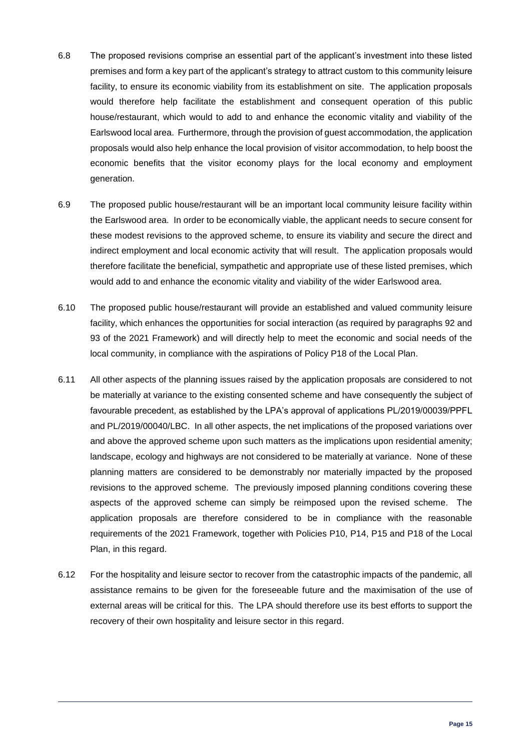- 6.8 The proposed revisions comprise an essential part of the applicant's investment into these listed premises and form a key part of the applicant's strategy to attract custom to this community leisure facility, to ensure its economic viability from its establishment on site. The application proposals would therefore help facilitate the establishment and consequent operation of this public house/restaurant, which would to add to and enhance the economic vitality and viability of the Earlswood local area. Furthermore, through the provision of guest accommodation, the application proposals would also help enhance the local provision of visitor accommodation, to help boost the economic benefits that the visitor economy plays for the local economy and employment generation.
- 6.9 The proposed public house/restaurant will be an important local community leisure facility within the Earlswood area. In order to be economically viable, the applicant needs to secure consent for these modest revisions to the approved scheme, to ensure its viability and secure the direct and indirect employment and local economic activity that will result. The application proposals would therefore facilitate the beneficial, sympathetic and appropriate use of these listed premises, which would add to and enhance the economic vitality and viability of the wider Earlswood area.
- 6.10 The proposed public house/restaurant will provide an established and valued community leisure facility, which enhances the opportunities for social interaction (as required by paragraphs 92 and 93 of the 2021 Framework) and will directly help to meet the economic and social needs of the local community, in compliance with the aspirations of Policy P18 of the Local Plan.
- 6.11 All other aspects of the planning issues raised by the application proposals are considered to not be materially at variance to the existing consented scheme and have consequently the subject of favourable precedent, as established by the LPA's approval of applications PL/2019/00039/PPFL and PL/2019/00040/LBC. In all other aspects, the net implications of the proposed variations over and above the approved scheme upon such matters as the implications upon residential amenity; landscape, ecology and highways are not considered to be materially at variance. None of these planning matters are considered to be demonstrably nor materially impacted by the proposed revisions to the approved scheme. The previously imposed planning conditions covering these aspects of the approved scheme can simply be reimposed upon the revised scheme. The application proposals are therefore considered to be in compliance with the reasonable requirements of the 2021 Framework, together with Policies P10, P14, P15 and P18 of the Local Plan, in this regard.
- 6.12 For the hospitality and leisure sector to recover from the catastrophic impacts of the pandemic, all assistance remains to be given for the foreseeable future and the maximisation of the use of external areas will be critical for this. The LPA should therefore use its best efforts to support the recovery of their own hospitality and leisure sector in this regard.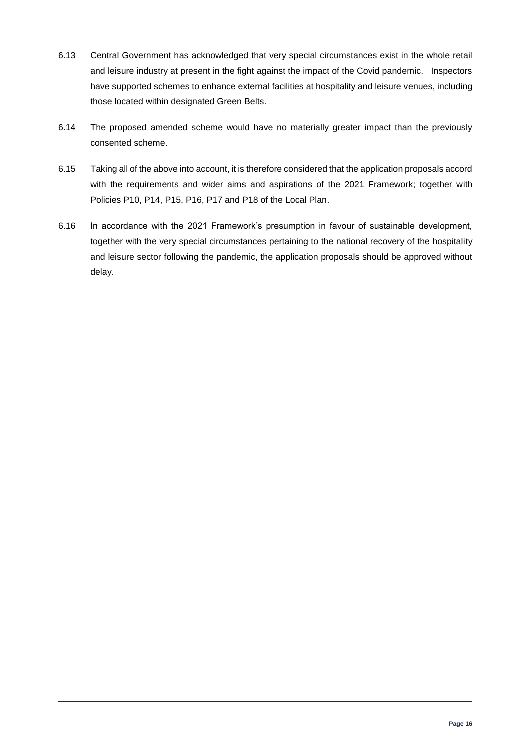- 6.13 Central Government has acknowledged that very special circumstances exist in the whole retail and leisure industry at present in the fight against the impact of the Covid pandemic. Inspectors have supported schemes to enhance external facilities at hospitality and leisure venues, including those located within designated Green Belts.
- 6.14 The proposed amended scheme would have no materially greater impact than the previously consented scheme.
- 6.15 Taking all of the above into account, it is therefore considered that the application proposals accord with the requirements and wider aims and aspirations of the 2021 Framework; together with Policies P10, P14, P15, P16, P17 and P18 of the Local Plan.
- 6.16 In accordance with the 2021 Framework's presumption in favour of sustainable development, together with the very special circumstances pertaining to the national recovery of the hospitality and leisure sector following the pandemic, the application proposals should be approved without delay.